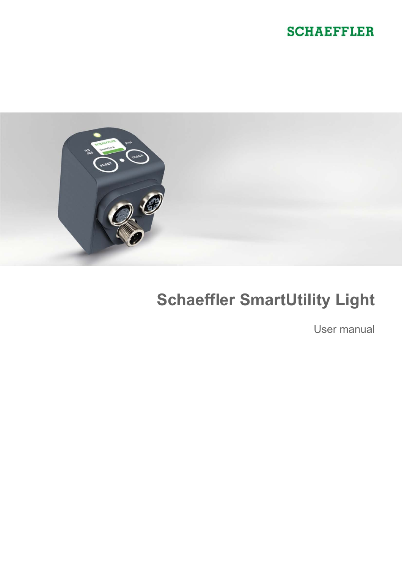



# **Schaeffler SmartUtility Light**

User manual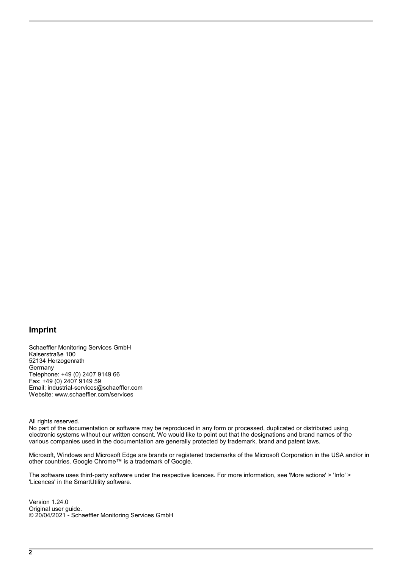### **Imprint**

Schaeffler Monitoring Services GmbH Kaiserstraße 100 52134 Herzogenrath Germany Telephone: +49 (0) 2407 9149 66 Fax: +49 (0) 2407 9149 59 Email: industrial-services@schaeffler.com Website: www.schaeffler.com/services

All rights reserved.

No part of the documentation or software may be reproduced in any form or processed, duplicated or distributed using electronic systems without our written consent. We would like to point out that the designations and brand names of the various companies used in the documentation are generally protected by trademark, brand and patent laws.

Microsoft, Windows and Microsoft Edge are brands or registered trademarks of the Microsoft Corporation in the USA and/or in other countries. Google Chrome™ is a trademark of Google.

The software uses third-party software under the respective licences. For more information, see 'More actions' > 'Info' > 'Licences' in the SmartUtility software.

Version 1.24.0 Original user guide. © 20/04/2021 - Schaeffler Monitoring Services GmbH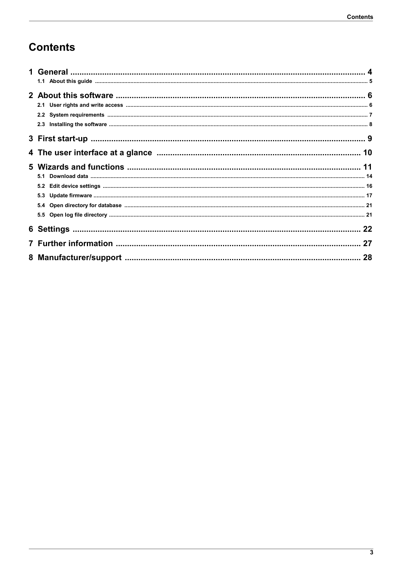## **Contents**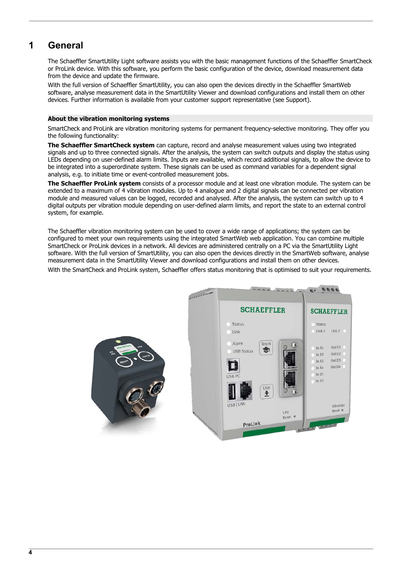## <span id="page-3-0"></span>**1 General**

The Schaeffler SmartUtility Light software assists you with the basic management functions of the Schaeffler SmartCheck or ProLink device. With this software, you perform the basic configuration of the device, download measurement data from the device and update the firmware.

With the full version of Schaeffler SmartUtility, you can also open the devices directly in the Schaeffler SmartWeb software, analyse measurement data in the SmartUtility Viewer and download configurations and install them on other devices. Further information is available from your customer support representative (see Support).

#### **About the vibration monitoring systems**

SmartCheck and ProLink are vibration monitoring systems for permanent frequency-selective monitoring. They offer you the following functionality:

**The Schaeffler SmartCheck system** can capture, record and analyse measurement values using two integrated signals and up to three connected signals. After the analysis, the system can switch outputs and display the status using LEDs depending on user-defined alarm limits. Inputs are available, which record additional signals, to allow the device to be integrated into a superordinate system. These signals can be used as command variables for a dependent signal analysis, e.g. to initiate time or event-controlled measurement jobs.

**The Schaeffler ProLink system** consists of a processor module and at least one vibration module. The system can be extended to a maximum of 4 vibration modules. Up to 4 analogue and 2 digital signals can be connected per vibration module and measured values can be logged, recorded and analysed. After the analysis, the system can switch up to 4 digital outputs per vibration module depending on user-defined alarm limits, and report the state to an external control system, for example.

The Schaeffler vibration monitoring system can be used to cover a wide range of applications; the system can be configured to meet your own requirements using the integrated SmartWeb web application. You can combine multiple SmartCheck or ProLink devices in a network. All devices are administered centrally on a PC via the SmartUtility Light software. With the full version of SmartUtility, you can also open the devices directly in the SmartWeb software, analyse measurement data in the SmartUtility Viewer and download configurations and install them on other devices.

With the SmartCheck and ProLink system, Schaeffler offers status monitoring that is optimised to suit your requirements.

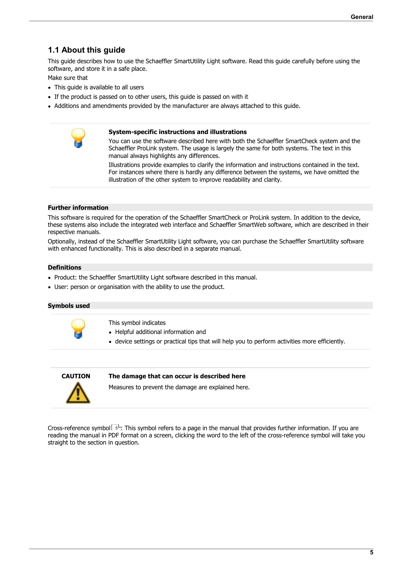## <span id="page-4-0"></span>**1.1 About this guide**

This guide describes how to use the Schaeffler SmartUtility Light software. Read this guide carefully before using the software, and store it in a safe place.

- Make sure that  $\bullet$  This quide is available to all users  $\bullet$  This guide is available to all users<br>• If the product is passed on to other users
- $\bullet$  If the product is passed on to other users, this guide is passed on with it<br>• Additions and amondmonts provided by the manufacturer are always attached
- Additions and amendments provided by the manufacturer are always attached to this guide.

#### **System-specific instructions and illustrations**

You can use the software described here with both the Schaeffler SmartCheck system and the Schaeffler ProLink system. The usage is largely the same for both systems. The text in this manual always highlights any differences.

Illustrations provide examples to clarify the information and instructions contained in the text. For instances where there is hardly any difference between the systems, we have omitted the illustration of the other system to improve readability and clarity.

#### **Further information**

This software is required for the operation of the Schaeffler SmartCheck or ProLink system. In addition to the device, these systems also include the integrated web interface and Schaeffler SmartWeb software, which are described in their respective manuals.

Optionally, instead of the Schaeffler SmartUtility Light software, you can purchase the Schaeffler SmartUtility software with enhanced functionality. This is also described in a separate manual.

#### **Definitions**

- Product: the Schaeffler SmartUtility Light software described in this manual.<br>• User: person as assasisation with the ability to use the product
- User: person or organisation with the ability to use the product.

#### **Symbols used**

- This symbol indicates<br>• Helpful additional information and
- · device settings or practical tips that will help you to perform activities more efficiently.



#### **CAUTION The damage that can occur is described here**

Measures to prevent the damage are explained here.

<span id="page-4-1"></span>[Cross-reference symbol](#page-4-1)l 5h: This symbol refers to a page in the manual that provides further information. If you are reading the manual in PDF format on a screen, clicking the word to the left of the cross-reference symbol will take you straight to the section in question.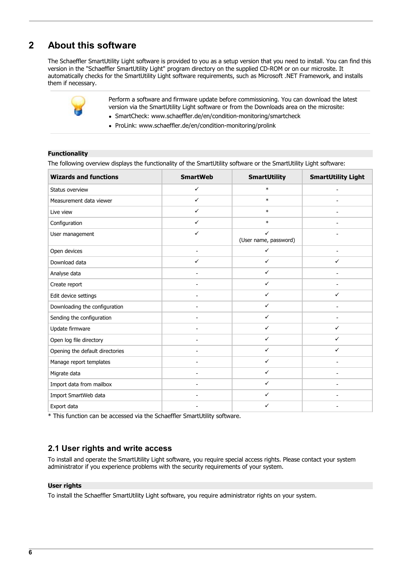## <span id="page-5-0"></span>**2 About this software**

The Schaeffler SmartUtility Light software is provided to you as a setup version that you need to install. You can find this version in the "Schaeffler SmartUtility Light" program directory on the supplied CD-ROM or on our microsite. It automatically checks for the SmartUtility Light software requirements, such as Microsoft .NET Framework, and installs them if necessary.



Perform a software and firmware update before commissioning. You can download the latest version via the SmartUtility Light software or from the Downloads area on the microsite: ·

- SmartCheck: [www.schaeffler.de/en/condition-monitoring/smartcheck](http://www.schaeffler.de/en/condition-monitoring/smartcheck)
- · ProLink: [www.schaeffler.de/en/condition-monitoring/prolink](http://www.schaeffler.de/en/condition-monitoring/prolink)

#### **Functionality**

The following overview displays the functionality of the SmartUtility software or the SmartUtility Light software:

| <b>Wizards and functions</b>    | <b>SmartWeb</b>          | <b>SmartUtility</b>        | <b>SmartUtility Light</b> |
|---------------------------------|--------------------------|----------------------------|---------------------------|
| Status overview                 | $\checkmark$             | $\ast$                     | $\overline{\phantom{a}}$  |
| Measurement data viewer         | $\checkmark$             | $\ast$                     |                           |
| Live view                       | $\checkmark$             | $\ast$                     |                           |
| Configuration                   | $\checkmark$             | $\ast$                     | $\overline{\phantom{a}}$  |
| User management                 | ✓                        | ✓<br>(User name, password) |                           |
| Open devices                    |                          | $\checkmark$               |                           |
| Download data                   | $\checkmark$             | $\checkmark$               | ✓                         |
| Analyse data                    |                          | $\checkmark$               |                           |
| Create report                   |                          | $\checkmark$               |                           |
| Edit device settings            |                          | ✓                          | ✓                         |
| Downloading the configuration   | ۰                        | $\checkmark$               | $\overline{\phantom{a}}$  |
| Sending the configuration       |                          | ✓                          |                           |
| Update firmware                 |                          | $\checkmark$               | $\checkmark$              |
| Open log file directory         | $\overline{\phantom{0}}$ | ✓                          | $\checkmark$              |
| Opening the default directories |                          | $\checkmark$               | ✓                         |
| Manage report templates         |                          | $\checkmark$               |                           |
| Migrate data                    |                          | $\checkmark$               |                           |
| Import data from mailbox        | ۰                        | $\checkmark$               | $\overline{\phantom{a}}$  |
| Import SmartWeb data            |                          | ✓                          |                           |
| Export data                     |                          | ✓                          |                           |

\* This function can be accessed via the Schaeffler SmartUtility software.

### <span id="page-5-1"></span>**2.1 User rights and write access**

To install and operate the SmartUtility Light software, you require special access rights. Please contact your system administrator if you experience problems with the security requirements of your system.

#### **User rights**

To install the Schaeffler SmartUtility Light software, you require administrator rights on your system.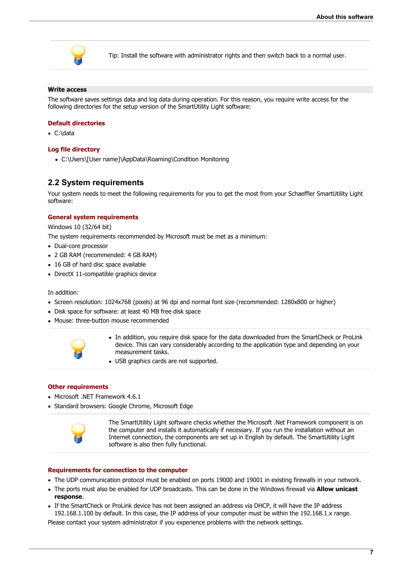

Tip: Install the software with administrator rights and then switch back to a normal user.

#### **Write access**

The software saves settings data and log data during operation. For this reason, you require write access for the following directories for the setup version of the SmartUtility Light software:

#### **Default directories**

· C:\data

#### **Log file directory**

· C:\Users\[User name]\AppData\Roaming\Condition Monitoring

#### <span id="page-6-0"></span>**2.2 System requirements**

Your system needs to meet the following requirements for you to get the most from your Schaeffler SmartUtility Light software:

#### **General system requirements**

Windows 10 (32/64 bit)

The system requirements recommended by Microsoft must be met as a minimum: ·

- Dual-core processor
- 2 GB RAM (recommended: 4 GB RAM)
- 16 GB of hard disc space available
- · DirectX 11-compatible graphics device

- In addition:<br>• · Screen resoluti • Screen resolution: 1024x768 (pixels) at 96 dpi and normal font size (recommended: 1280x800 or higher)<br>• Disk space for software: at least 40 MB free disk space
- Disk space for software: at least 40 MB free disk space
- · Mouse: three-button mouse recommended



- · In addition, you require disk space for the data downloaded from the SmartCheck or ProLink device. This can vary considerably according to the application type and depending on your measurement tasks. measurement tasks.<br>• USB graphics cards are not supported.
- 

#### **Other requirements**

- · Microsoft .NET Framework 4.6.1
- · Standard browsers: Google Chrome, Microsoft Edge



The SmartUtility Light software checks whether the Microsoft .Net Framework component is on the computer and installs it automatically if necessary. If you run the installation without an Internet connection, the components are set up in English by default. The SmartUtility Light software is also then fully functional.

#### **Requirements for connection to the computer**

- The UDP communication protocol must be enabled on ports 19000 and 19001 in existing firewalls in your network.<br>• The ports must also be enabled for UDP broadcasts. This can be done in the Windows firewall via **Allow unic**
- The ports must also be enabled for UDP broadcasts. This can be done in the Windows firewall via **Allow unicast**
- **response**. · If the SmartCheck or ProLink device has not been assigned an address via DHCP, it will have the IP address 192.168.1.100 by default. In this case, the IP address of your computer must be within the 192.168.1.x range.

Please contact your system administrator if you experience problems with the network settings.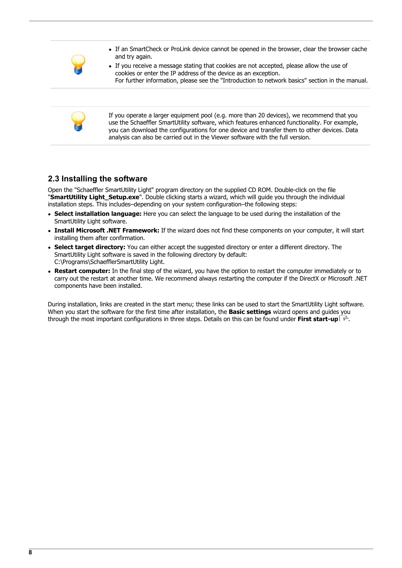

- · If an SmartCheck or ProLink device cannot be opened in the browser, clear the browser cache
- and try again.<br>• If you receive a message stating that cookies are not accepted, please allow the use of cookies or enter the IP address of the device as an exception. For further information, please see the "Introduction to network basics" section in the manual.



If you operate a larger equipment pool (e.g. more than 20 devices), we recommend that you use the Schaeffler SmartUtility software, which features enhanced functionality. For example, you can download the configurations for one device and transfer them to other devices. Data analysis can also be carried out in the Viewer software with the full version.

## <span id="page-7-0"></span>**2.3 Installing the software**

Open the "Schaeffler SmartUtility Light" program directory on the supplied CD ROM. Double-click on the file "**SmartUtility Light\_Setup.exe**". Double clicking starts a wizard, which will guide you through the individual installation steps. This includes–depending on your system configuration–the following steps: ·

- **Select installation language:** Here you can select the language to be used during the installation of the
- SmartUtility Light software. · **Install Microsoft .NET Framework:** If the wizard does not find these components on your computer, it will start
- installing them after confirmation. · **Select target directory:** You can either accept the suggested directory or enter a different directory. The SmartUtility Light software is saved in the following directory by default: C:\Programs\SchaefflerSmartUtility Light.
- **Restart computer:** In the final step of the wizard, you have the option to restart the computer immediately or to carry out the restart at another time. We recommend always restarting the computer if the DirectX or Microsoft .NET components have been installed.

During installation, links are created in the start menu; these links can be used to start the SmartUtility Light software. When you start the software for the first time after installation, the **Basic settings** wizard opens and guides you through the most important configurations in three steps. Details on this can be found under **[First start-up](#page-8-0)**  $\boxed{9}$ .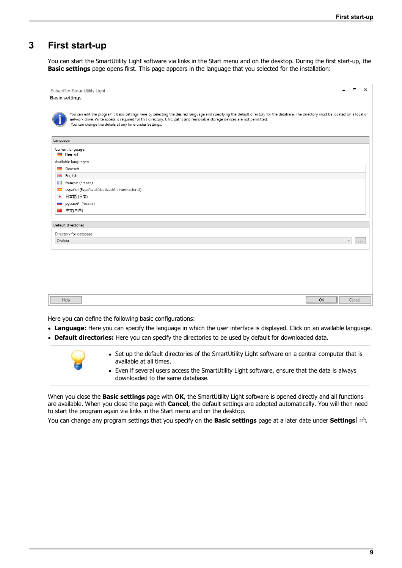## <span id="page-8-0"></span>**3 First start-up**

You can start the SmartUtility Light software via links in the Start menu and on the desktop. During the first start-up, the **Basic settings** page opens first. This page appears in the language that you selected for the installation:

| Schaeffler SmartUtility Light<br><b>Basic settings</b>                                                                                                                                                                                                                                                                                                                  |         | $\Box$ | ×             |
|-------------------------------------------------------------------------------------------------------------------------------------------------------------------------------------------------------------------------------------------------------------------------------------------------------------------------------------------------------------------------|---------|--------|---------------|
| You can edit the program's basic settings here by selecting the desired language and specifying the default directory for the database. The directory must be located on a local or<br>network drive. Write access is required for this directory. UNC paths and removable storage devices are not permitted.<br>You can change the details at any time under Settings. |         |        |               |
| Language                                                                                                                                                                                                                                                                                                                                                                |         |        |               |
| Current language:<br>Deutsch                                                                                                                                                                                                                                                                                                                                            |         |        |               |
| Available languages:<br>Deutsch                                                                                                                                                                                                                                                                                                                                         |         |        |               |
| HH English                                                                                                                                                                                                                                                                                                                                                              |         |        |               |
| <b>T</b> français (France)                                                                                                                                                                                                                                                                                                                                              |         |        |               |
| español (España, alfabetización internacional)<br>$\mathcal{R}^{\text{max}}$                                                                                                                                                                                                                                                                                            |         |        |               |
| ● 日本語 (日本)                                                                                                                                                                                                                                                                                                                                                              |         |        |               |
| русский (Россия)<br><b>College</b>                                                                                                                                                                                                                                                                                                                                      |         |        |               |
| ■ 中文(中国)                                                                                                                                                                                                                                                                                                                                                                |         |        |               |
|                                                                                                                                                                                                                                                                                                                                                                         |         |        |               |
| Default directories                                                                                                                                                                                                                                                                                                                                                     |         |        |               |
| Directory for database:                                                                                                                                                                                                                                                                                                                                                 |         |        |               |
| C:\data                                                                                                                                                                                                                                                                                                                                                                 |         |        | $\sim$ $\sim$ |
|                                                                                                                                                                                                                                                                                                                                                                         |         |        |               |
|                                                                                                                                                                                                                                                                                                                                                                         |         |        |               |
|                                                                                                                                                                                                                                                                                                                                                                         |         |        |               |
|                                                                                                                                                                                                                                                                                                                                                                         |         |        |               |
|                                                                                                                                                                                                                                                                                                                                                                         |         |        |               |
|                                                                                                                                                                                                                                                                                                                                                                         |         |        |               |
| Help                                                                                                                                                                                                                                                                                                                                                                    | ,<br>OK | Cancel |               |

Here you can define the following basic configurations:

- Language: Here you can specify the language in which the user interface is displayed. Click on an available language.
- **Default directories:** Here you can specify the directories to be used by default for downloaded data.



- · Set up the default directories of the SmartUtility Light software on a central computer that is
- available at all times.<br>• Even if several users access the SmartUtility Light software, ensure that the data is always downloaded to the same database.

When you close the **Basic settings** page with **OK**, the SmartUtility Light software is opened directly and all functions are available. When you close the page with **Cancel**, the default settings are adopted automatically. You will then need to start the program again via links in the Start menu and on the desktop.

You can change any program settings that you specify on the **Basic settings** page at a later date under **[Settings](#page-21-0)** <sup>22</sup> .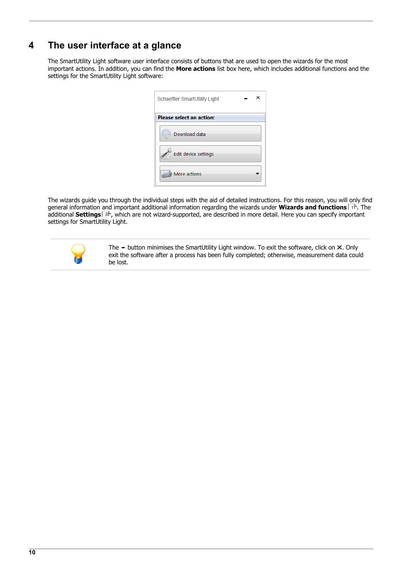## <span id="page-9-0"></span>**4 The user interface at a glance**

The SmartUtility Light software user interface consists of buttons that are used to open the wizards for the most important actions. In addition, you can find the **More actions** list box here, which includes additional functions and the settings for the SmartUtility Light software:

| Schaeffler SmartUtility Light   |  |
|---------------------------------|--|
| <b>Please select an action:</b> |  |
| Download data                   |  |
| Edit device settings            |  |
| More actions                    |  |

The wizards guide you through the individual steps with the aid of detailed instructions. For this reason, you will only find general information and important additional information regarding the wizards under **[Wizards and functions](#page-10-0)** I th. The additional **[Settings](#page-21-0)** I 22), which are not wizard-supported, are described in more detail. Here you can specify important settings for SmartUtility Light.



The  $-$  button minimises the SmartUtility Light window. To exit the software, click on  $\times$ . Only exit the software after a process has been fully completed; otherwise, measurement data could be lost.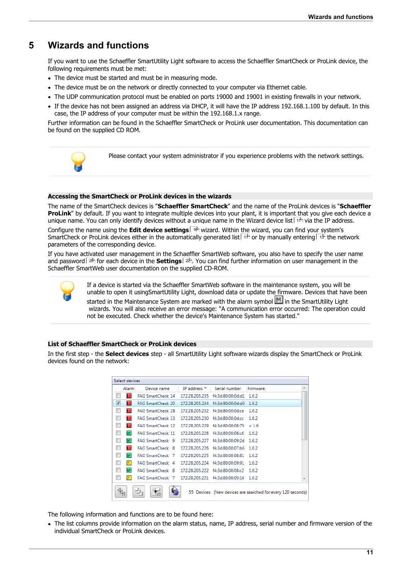## <span id="page-10-0"></span>**5 Wizards and functions**

If you want to use the Schaeffler SmartUtility Light software to access the Schaeffler SmartCheck or ProLink device, the

- The device must be started and must be in measuring mode. The device must be started and must be in measuring mode.<br>• The device must be on the network or directly connected to vour :
- The device must be on the network or directly connected to your computer via Ethernet cable.<br>• The UDP communication protocol must be enabled on ports 19000 and 19001 in existing firewalls in
- The UDP communication protocol must be enabled on ports 19000 and 19001 in existing firewalls in your network.
- If the device has not been assigned an address via DHCP, it will have the IP address 192.168.1.100 by default. In this case, the IP address of your computer must be within the 192.168.1.x range.

Further information can be found in the Schaeffler SmartCheck or ProLink user documentation. This documentation can be found on the supplied CD ROM.



Please contact your system administrator if you experience problems with the network settings.

#### **Accessing the SmartCheck or ProLink devices in the wizards**

The name of the SmartCheck devices is "**Schaeffler SmartCheck**" and the name of the ProLink devices is "**Schaeffler ProLink**" by default. If you want to integrate multiple devices into your plant, it is important that you give each device a unique name. You can only identify devices without a unique name in the [Wizard device list](#page-10-1) I1th via the IP address. Configure the name using the **[Edit device settings](#page-15-0)** | 16 | wizard. Within the wizard, you can find your system's SmartCheck or ProLink devices either in the [automatically generated list](#page-10-1)  $\pm\phi$  or by [manually entering](#page-12-0)  $\pm\pi$  the network

parameters of the corresponding device.

If you have activated user management in the Schaeffler SmartWeb software, you also have to specify the [user name](#page-24-0) [and password](#page-24-0) l<sup>28</sup> for each device in the **[Settings](#page-21-0)** I 22 .You can find further information on user management in the Schaeffler SmartWeb user documentation on the supplied CD-ROM.



If a device is started via the Schaeffler SmartWeb software in the maintenance system, you will be unable to open it usingSmartUtility Light, download data or update the firmware. Devices that have been started in the Maintenance System are marked with the alarm symbol  $\mathbb{M}$  in the SmartUtility Light wizards. You will also receive an error message: "A communication error occurred: The operation could not be executed. Check whether the device's Maintenance System has started."

#### <span id="page-10-1"></span>**List of Schaeffler SmartCheck or ProLink devices**

In the first step - the **Select devices** step - all SmartUtility Light software wizards display the SmartCheck or ProLink devices found on the network:

| Select devices                |                                                   |                |                   |                                                             |
|-------------------------------|---------------------------------------------------|----------------|-------------------|-------------------------------------------------------------|
| Alarm                         | Device name                                       | IP address T   | Serial number     | Firmware                                                    |
| п                             | <b>FAG SmartCheck 14</b>                          | 172.28.205.235 | f4:3d:80:00:0d:d1 | 1.6.2                                                       |
| $\overline{\mathcal{L}}$<br>п | <b>FAG SmartCheck 20</b>                          | 172.28.205.234 | f4:3d:80:00:0d:d0 | 1.6.2                                                       |
| п                             | <b>FAG SmartCheck 28</b>                          | 172.28.205.232 | f4:3d:80:00:0d:ce | 1.6.2                                                       |
| п                             | <b>FAG SmartCheck 13</b>                          | 172.28.205.230 | f4:3d:80:00:0d:cc | 1.6.2                                                       |
| п                             | <b>FAG SmartCheck 12</b>                          | 172.28.205.229 | f4:3d:80:00:08:75 | < 1.6                                                       |
| V                             | <b>FAG SmartCheck 11</b>                          | 172.28.205.228 | f4:3d:80:00:08:c6 | 1.6.2                                                       |
| $\overline{ }$                | FAG SmartCheck 9                                  | 172.28.205.227 | f4:3d:80:00:09:2d | 1.6.2                                                       |
| п                             | FAG SmartCheck 8                                  |                |                   | 1.6.2                                                       |
| $\blacktriangleright$         | <b>FAG SmartCheck 7</b>                           | 172.28.205.225 | f4:3d:80:00:08:81 | 1.6.2                                                       |
| п                             | <b>FAG SmartCheck</b> 4                           | 172.28.205.224 | f4:3d:80:00:09:91 | 1.6.2                                                       |
| V                             | <b>FAG SmartCheck</b> 8                           | 172.28.205.222 | f4:3d:80:00:08:c2 | 1.6.2                                                       |
|                               | EAG SmartCheck 7 172.28.205.221 f4:3d:80:00:09:16 |                |                   | 1.6.2                                                       |
|                               |                                                   |                |                   | 55 Devices (New devices are searched for every 120 seconds) |

The following information and functions are to be found here:

 The list columns provide information on the alarm status, name, IP address, serial number and firmware version of the individual SmartCheck or ProLink devices.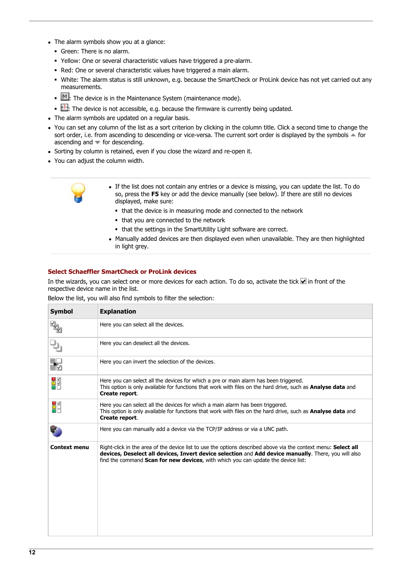- · The alarm symbols show you at a glance:
	- § Green: There is no alarm.
	- § Yellow: One or several characteristic values have triggered a pre-alarm.
	- § Red: One or several characteristic values have triggered a main alarm.
	- § White: The alarm status is still unknown, e.g. because the SmartCheck or ProLink device has not yet carried out any measurements.
	- $\blacksquare$   $\blacksquare$  The device is in the Maintenance System (maintenance mode).
- $\Box$ : The device is not accessible, e.g. because the firmware is currently being updated.<br>• The alarm symbols are undated on a requier basis
- The alarm symbols are updated on a regular basis.
- You can set any column of the list as a sort criterion by clicking in the column title. Click a second time to change the sort order, i.e. from ascending to descending or vice-versa. The current sort order is displayed by the symbols  $\blacktriangle$  for ascending and  $\blacktriangledown$  for descending. ascending and  $\bullet$  for descending.<br>• Sorting by column is ratained, oven if **v**
- $\bullet$  Sorting by column is retained, even if you close the wizard and re-open it.<br>• You can adjust the column width
- You can adjust the column width.



- · If the list does not contain any entries or a device is missing, you can update the list. To do so, press the **F5** key or add the device manually (see below). If there are still no devices displayed, make sure:
	- that the device is in measuring mode and connected to the network
	- that you are connected to the network
- that the settings in the SmartUtility Light software are correct.<br>• Manually added devices are then displayed even when unavailable. The
- Manually added devices are then displayed even when unavailable. They are then highlighted in light grey.

#### **Select Schaeffler SmartCheck or ProLink devices**

In the wizards, you can select one or more devices for each action. To do so, activate the tick  $\blacksquare$  in front of the respective device name in the list.

Below the list, you will also find symbols to filter the selection:

| <b>Symbol</b>       | <b>Explanation</b>                                                                                                                                                                                                                                                                                                  |
|---------------------|---------------------------------------------------------------------------------------------------------------------------------------------------------------------------------------------------------------------------------------------------------------------------------------------------------------------|
|                     | Here you can select all the devices.                                                                                                                                                                                                                                                                                |
| ₽                   | Here you can deselect all the devices.                                                                                                                                                                                                                                                                              |
| $\mathbf{r}$        | Here you can invert the selection of the devices.                                                                                                                                                                                                                                                                   |
| <b>YA</b>           | Here you can select all the devices for which a pre or main alarm has been triggered.<br>This option is only available for functions that work with files on the hard drive, such as Analyse data and<br>Create report.                                                                                             |
| H                   | Here you can select all the devices for which a main alarm has been triggered.<br>This option is only available for functions that work with files on the hard drive, such as Analyse data and<br>Create report.                                                                                                    |
|                     | Here you can manually add a device via the TCP/IP address or via a UNC path.                                                                                                                                                                                                                                        |
| <b>Context menu</b> | Right-click in the area of the device list to use the options described above via the context menu: Select all<br>devices, Deselect all devices, Invert device selection and Add device manually. There, you will also<br>find the command <b>Scan for new devices</b> , with which you can update the device list: |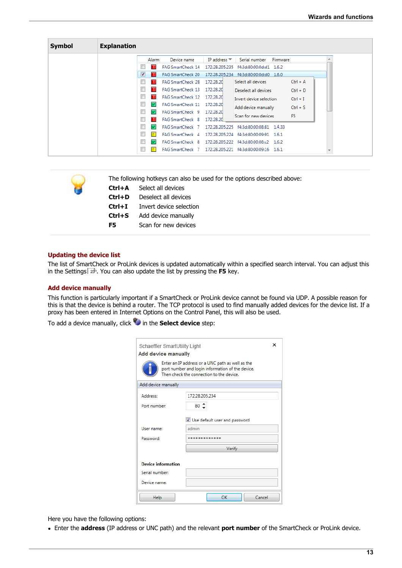| <b>Symbol</b> | <b>Explanation</b>               |              |                                  |                     |                         |          |                |  |
|---------------|----------------------------------|--------------|----------------------------------|---------------------|-------------------------|----------|----------------|--|
|               |                                  | <b>Alarm</b> | Device name                      | IP address $\equiv$ | Serial number           | Firmware |                |  |
|               |                                  | п            | FAG SmartCheck 14 172.28.205.235 |                     | f4:3d:80:00:0d:d1 1.6.2 |          |                |  |
|               | $\vert \bm{\triangledown} \vert$ | π            | <b>FAG SmartCheck 20</b>         | 172.28.205.234      | f4:3d:80:00:0d:d0 1.6.0 |          |                |  |
|               | $\Box$                           | т            | FAG SmartCheck 28 172.28.20      |                     | Select all devices      |          | $Ctrl + A$     |  |
|               | u                                |              | FAG SmartCheck 13 172.28.20      |                     | Deselect all devices    |          | $Ctrl + D$     |  |
|               |                                  |              | FAG SmartCheck 12 172.28.20      |                     | Invert device selection |          | $Ctrl + I$     |  |
|               | $\Box$                           | V            | FAG SmartCheck 11                | 172.28.20           | Add device manually     |          | $Ctrl + S$     |  |
|               | E                                | V            | FAG SmartCheck 9 172.28.20       |                     | Scan for new devices    |          | F <sub>5</sub> |  |
|               |                                  | п            | FAG SmartCheck 8                 | 172.28.20           |                         |          |                |  |
|               | $\Box$                           | V            | FAG SmartCheck 7 172.28.205.225  |                     | f4:3d:80:00:08:81       | 1.4.33   |                |  |
|               | O                                | π            | FAG SmartCheck 4                 | 172.28.205.224      | f4:3d:80:00:09:91 1.6.1 |          |                |  |
|               | $\Box$                           | V            | FAG SmartCheck 8                 | 172.28.205.222      | f4:3d:80:00:08:c2 1.6.2 |          |                |  |
|               | O                                |              | FAG SmartCheck 7 172.28.205.221  |                     | f4:3d:80:00:09:16 1.6.1 |          |                |  |

| The following hotkeys can also be used for the options described above: |  |  |  |  |  |
|-------------------------------------------------------------------------|--|--|--|--|--|
| <b>Ctrl+A</b> Select all devices                                        |  |  |  |  |  |
| <b>Ctrl+D</b> Deselect all devices                                      |  |  |  |  |  |
| Invert device selection                                                 |  |  |  |  |  |
|                                                                         |  |  |  |  |  |

#### **Updating the device list**

The list of SmartCheck or ProLink devices is updated automatically within a specified search interval. You can adjust this in the [Settings](#page-22-0)  $z$   $z$   $\rightarrow$  You can also update the list by pressing the F5 key.

#### <span id="page-12-0"></span>**Add device manually**

This function is particularly important if a SmartCheck or ProLink device cannot be found via UDP. A possible reason for this is that the device is behind a router. The TCP protocol is used to find manually added devices for the device list. If a proxy has been entered in Internet Options on the Control Panel, this will also be used.

To add a device manually, click in the **Select device** step:

**Ctrl+S** Add device manually **F5** Scan for new devices

| ×<br>Schaeffler SmartUtility Light                                                                                                                                             |                               |  |  |  |
|--------------------------------------------------------------------------------------------------------------------------------------------------------------------------------|-------------------------------|--|--|--|
| <b>Add device manually</b><br>Enter an IP address or a UNC path as well as the<br>port number and login information of the device.<br>Then check the connection to the device. |                               |  |  |  |
| Add device manually                                                                                                                                                            |                               |  |  |  |
| <b>Address:</b>                                                                                                                                                                | 172.28.205.234                |  |  |  |
| Port number:                                                                                                                                                                   | $80^{\circ}$                  |  |  |  |
|                                                                                                                                                                                | Use default user and password |  |  |  |
| User name:                                                                                                                                                                     | admin                         |  |  |  |
| Password:                                                                                                                                                                      | ***********                   |  |  |  |
|                                                                                                                                                                                | Verify                        |  |  |  |
| <b>Device information</b>                                                                                                                                                      |                               |  |  |  |
| Serial number:                                                                                                                                                                 |                               |  |  |  |
| Device name:                                                                                                                                                                   |                               |  |  |  |
| Help                                                                                                                                                                           | OK<br>Cancel                  |  |  |  |

Here you have the following options:

Enter the **address** (IP address or UNC path) and the relevant **port number** of the SmartCheck or ProLink device.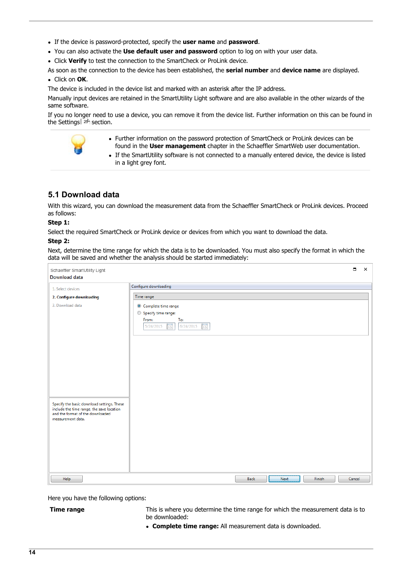- If the device is password-protected, specify the **user name** and **password**.<br>• You can also activate the Use default user and password option to log on with
- You can also activate the **Use default user and password** option to log on with your user data. ·
- Click **Verify** to test the connection to the SmartCheck or ProLink device.
- As soon as the connection to the device has been established, the **serial number** and **device name** are displayed. ·

#### Click on **OK**.

The device is included in the device list and marked with an asterisk after the IP address.

Manually input devices are retained in the SmartUtility Light software and are also available in the other wizards of the same software.

If you no longer need to use a device, you can remove it from the device list. Further information on this can be found in the [Settings](#page-24-0)  $25^{\circ}$  section.

- · Further information on the password protection of SmartCheck or ProLink devices can be found in the **User management** chapter in the Schaeffler SmartWeb user documentation. ·
- If the SmartUtility software is not connected to a manually entered device, the device is listed in a light grey font.

## <span id="page-13-0"></span>**5.1 Download data**

With this wizard, you can download the measurement data from the Schaeffler SmartCheck or ProLink devices. Proceed as follows:

#### **Step 1:**

Select the required SmartCheck or ProLink device or devices from which you want to download the data.

#### **Step 2:**

Next, determine the time range for which the data is to be downloaded. You must also specify the format in which the data will be saved and whether the analysis should be started immediately:

| Schaeffler SmartUtility Light<br><b>Download data</b>                                                                                            |                                                                                                                            | $\Box$ | $\times$ |
|--------------------------------------------------------------------------------------------------------------------------------------------------|----------------------------------------------------------------------------------------------------------------------------|--------|----------|
| 1. Select devices                                                                                                                                | Configure downloading                                                                                                      |        |          |
| 2. Configure downloading                                                                                                                         | Time range                                                                                                                 |        |          |
| 3. Download data                                                                                                                                 | © Complete time range<br>Specify time range:<br>From:<br>To:<br>$\frac{1}{15}$<br>$\frac{1}{15}$<br>5/24/2015<br>6/24/2015 |        |          |
| Specify the basic download settings. These<br>include the time range, the save location<br>and the format of the downloaded<br>measurement data. |                                                                                                                            |        |          |
| Help                                                                                                                                             | Finish<br>Back<br>Next                                                                                                     | Cancel |          |

Here you have the following options:

**Time range** This is where you determine the time range for which the measurement data is to

be downloaded:<br>• **Complete time range:** All measurement data is downloaded.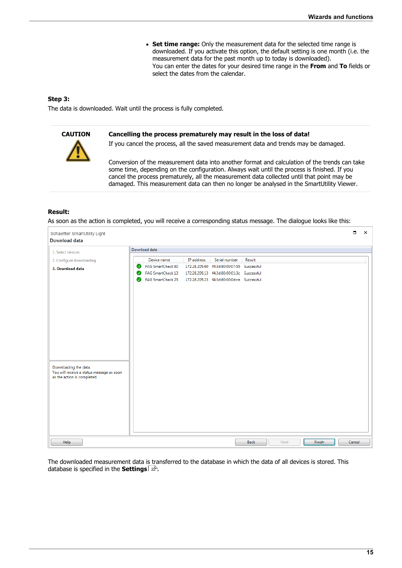· **Set time range:** Only the measurement data for the selected time range is downloaded. If you activate this option, the default setting is one month (i.e. the measurement data for the past month up to today is downloaded). You can enter the dates for your desired time range in the **From** and **To** fields or select the dates from the calendar.

#### **Step 3:**

The data is downloaded. Wait until the process is fully completed.



#### **CAUTION Cancelling the process prematurely may result in the loss of data!**

If you cancel the process, all the saved measurement data and trends may be damaged.

Conversion of the measurement data into another format and calculation of the trends can take some time, depending on the configuration. Always wait until the process is finished. If you cancel the process prematurely, all the measurement data collected until that point may be damaged. This measurement data can then no longer be analysed in the SmartUtility Viewer.

#### **Result:**

As soon as the action is completed, you will receive a corresponding status message. The dialogue looks like this:



The downloaded measurement data is transferred to the database in which the data of all devices is stored. This database is specified in the **[Settings](#page-21-0)**  $\boxed{2}$ .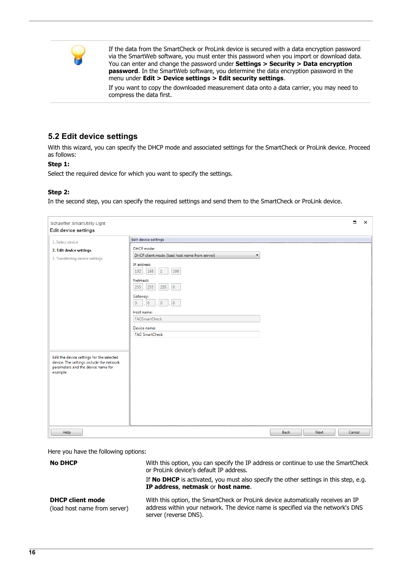

If the data from the SmartCheck or ProLink device is secured with a data encryption password via the SmartWeb software, you must enter this password when you import or download data. You can enter and change the password under **Settings > Security > Data encryption password**. In the SmartWeb software, you determine the data encryption password in the menu under **Edit > Device settings > Edit security settings**.

If you want to copy the downloaded measurement data onto a data carrier, you may need to compress the data first.

## <span id="page-15-0"></span>**5.2 Edit device settings**

With this wizard, you can specify the DHCP mode and associated settings for the SmartCheck or ProLink device. Proceed as follows:

#### **Step 1:**

Select the required device for which you want to specify the settings.

#### **Step 2:**

In the second step, you can specify the required settings and send them to the SmartCheck or ProLink device.

| <b>Edit device settings</b>                                                                                                                                                                                                                 |                                                                                                                                                                                                                                                                                                                                                           |             |      | $\Box$ |  |
|---------------------------------------------------------------------------------------------------------------------------------------------------------------------------------------------------------------------------------------------|-----------------------------------------------------------------------------------------------------------------------------------------------------------------------------------------------------------------------------------------------------------------------------------------------------------------------------------------------------------|-------------|------|--------|--|
| 1. Select device<br>2. Edit device settings<br>3. Transferring device settings<br>$\overline{0}$<br>Edit the device settings for the selected<br>device. The settings include the network<br>parameters and the device name for<br>example. | Edit device settings<br>DHCP mode:<br>DHCP client mode (load host name from server)<br>$\blacktriangledown$<br>IP address:<br>168<br>192<br>$\vert$ 1<br>100<br>Netmask:<br>255<br>255<br>255<br>$\overline{0}$<br>Gateway:<br>$\overline{0}$<br>$\overline{0}$<br>$\overline{0}$<br>Host name:<br>FAGSmartCheck<br>Device name:<br><b>FAG SmartCheck</b> |             |      |        |  |
| Help                                                                                                                                                                                                                                        |                                                                                                                                                                                                                                                                                                                                                           | <b>Back</b> | Next | Cancel |  |

Here you have the following options:

**No DHCP** With this option, you can specify the IP address or continue to use the SmartCheck or ProLink device's default IP address.

> If **No DHCP** is activated, you must also specify the other settings in this step, e.g. **IP address**, **netmask** or **host name**.

#### **DHCP client mode**

(load host name from server)

With this option, the SmartCheck or ProLink device automatically receives an IP address within your network. The device name is specified via the network's DNS server (reverse DNS).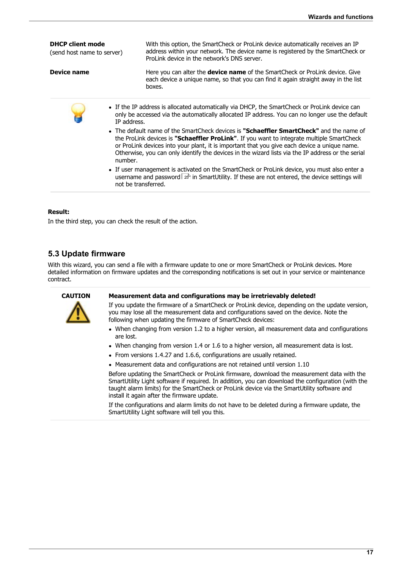| <b>DHCP client mode</b><br>(send host name to server) | With this option, the SmartCheck or ProLink device automatically receives an IP<br>address within your network. The device name is registered by the SmartCheck or<br>ProLink device in the network's DNS server.                                                                                                                                                                                |
|-------------------------------------------------------|--------------------------------------------------------------------------------------------------------------------------------------------------------------------------------------------------------------------------------------------------------------------------------------------------------------------------------------------------------------------------------------------------|
| Device name                                           | Here you can alter the <b>device name</b> of the SmartCheck or ProLink device. Give<br>each device a unique name, so that you can find it again straight away in the list<br>boxes.                                                                                                                                                                                                              |
| IP address.                                           | • If the IP address is allocated automatically via DHCP, the SmartCheck or ProLink device can<br>only be accessed via the automatically allocated IP address. You can no longer use the default                                                                                                                                                                                                  |
| number.                                               | • The default name of the SmartCheck devices is <b>"Schaeffler SmartCheck"</b> and the name of<br>the ProLink devices is "Schaeffler ProLink". If you want to integrate multiple SmartCheck<br>or ProLink devices into your plant, it is important that you give each device a unique name.<br>Otherwise, you can only identify the devices in the wizard lists via the IP address or the serial |
|                                                       | • If user management is activated on the SmartCheck or ProLink device, you must also enter a<br>username and password $25$ in SmartUtility. If these are not entered, the device settings will<br>not be transferred.                                                                                                                                                                            |
|                                                       |                                                                                                                                                                                                                                                                                                                                                                                                  |

#### **Result:**

In the third step, you can check the result of the action.

## <span id="page-16-0"></span>**5.3 Update firmware**

With this wizard, you can send a file with a firmware update to one or more SmartCheck or ProLink devices. More detailed information on firmware updates and the corresponding notifications is set out in your service or maintenance contract.



#### **CAUTION Measurement data and configurations may be irretrievably deleted!**

If you update the firmware of a SmartCheck or ProLink device, depending on the update version, you may lose all the measurement data and configurations saved on the device. Note the following when updating the firmware of SmartCheck devices:

- When changing from version 1.2 to a higher version, all measurement data and configurations are lost. are lost.<br>Mhon changi •
- When changing from version 1.4 or 1.6 to a higher version, all measurement data is lost.<br>• From versions 1.4.27 and 1.6.6, configurations are usually retained.
- From versions 1.4.27 and 1.6.6, configurations are usually retained.
- Measurement data and configurations are not retained until version 1.10

Before updating the SmartCheck or ProLink firmware, download the measurement data with the SmartUtility Light software if required. In addition, you can download the configuration (with the taught alarm limits) for the SmartCheck or ProLink device via the SmartUtility software and install it again after the firmware update.

If the configurations and alarm limits do not have to be deleted during a firmware update, the SmartUtility Light software will tell you this.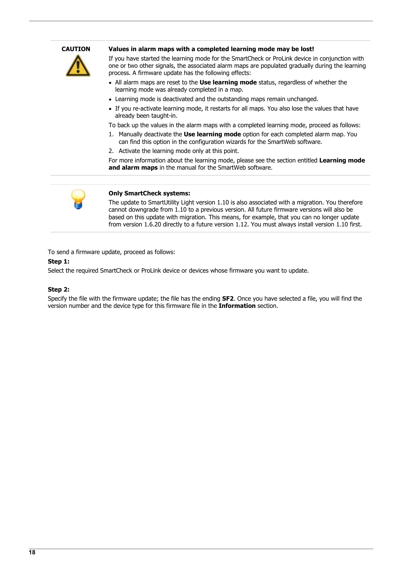

#### **CAUTION Values in alarm maps with a completed learning mode may be lost!**

If you have started the learning mode for the SmartCheck or ProLink device in conjunction with one or two other signals, the associated alarm maps are populated gradually during the learning process. A firmware update has the following effects:

- All alarm maps are reset to the **Use learning mode** status, regardless of whether the learning mode was already completed in a map.
- Learning mode is deactivated and the outstanding maps remain unchanged. ·
- If you re-activate learning mode, it restarts for all maps. You also lose the values that have already been taught-in. I. Manually deactivated the the states for all maps. You also lose the values that have<br>already been taught-in.<br>To back up the values in the alarm maps with a completed learning mode, proceed as follows:<br>1. Manually deacti

To back up the values in the alarm maps with a completed learning mode, proceed as follows:

- can find this option in the configuration wizards for the SmartWeb software. I. Manually deactivate the **Use learning mode** option for each completed alarm map. You<br>
1. Manually deactivate the **Use learning mode** option for each completed alarm map. You<br>
can find this option in the configuration wi
- 

**and alarm maps** in the manual for the SmartWeb software.



#### **Only SmartCheck systems:**

The update to SmartUtility Light version 1.10 is also associated with a migration. You therefore cannot downgrade from 1.10 to a previous version. All future firmware versions will also be based on this update with migration. This means, for example, that you can no longer update from version 1.6.20 directly to a future version 1.12. You must always install version 1.10 first.

To send a firmware update, proceed as follows:

#### **Step 1:**

Select the required SmartCheck or ProLink device or devices whose firmware you want to update.

#### **Step 2:**

Specify the file with the firmware update; the file has the ending **SF2**. Once you have selected a file, you will find the version number and the device type for this firmware file in the **Information** section.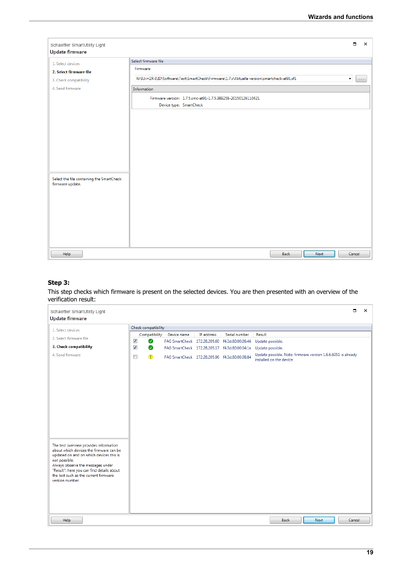| Schaeffler SmartUtility Light<br><b>Update firmware</b> |                                                                                            | $\blacksquare$     | $\times$    |
|---------------------------------------------------------|--------------------------------------------------------------------------------------------|--------------------|-------------|
|                                                         | Select firmware file                                                                       |                    |             |
| 1. Select devices                                       | Firmware:                                                                                  |                    |             |
| 2. Select firmware file                                 |                                                                                            |                    |             |
| 3. Check compatibility                                  | N:\IU-HZR-NID\Software\Test\SmartCheck\Firmware\1.7.x\Aktuelle version\smartcheck-at91.sf1 | $\pmb{\mathrm{v}}$ | $\sim 0.01$ |
| 4. Send firmware                                        | Information                                                                                |                    |             |
|                                                         | Firmware version: 1.7.5.smc-at91-1.7.5.389258-20150126110421                               |                    |             |
|                                                         | Device type: SmartCheck                                                                    |                    |             |
|                                                         |                                                                                            |                    |             |
|                                                         |                                                                                            |                    |             |
|                                                         |                                                                                            |                    |             |
|                                                         |                                                                                            |                    |             |
|                                                         |                                                                                            |                    |             |
|                                                         |                                                                                            |                    |             |
|                                                         |                                                                                            |                    |             |
|                                                         |                                                                                            |                    |             |
| Select the file containing the SmartCheck               |                                                                                            |                    |             |
| firmware update.                                        |                                                                                            |                    |             |
|                                                         |                                                                                            |                    |             |
|                                                         |                                                                                            |                    |             |
|                                                         |                                                                                            |                    |             |
|                                                         |                                                                                            |                    |             |
|                                                         |                                                                                            |                    |             |
|                                                         |                                                                                            |                    |             |
|                                                         |                                                                                            |                    |             |
|                                                         |                                                                                            |                    |             |
| Help                                                    | Back<br>Next                                                                               | Cancel             |             |

#### **Step 3:**

This step checks which firmware is present on the selected devices. You are then presented with an overview of the verification result:

| Schaeffler SmartUtility Light<br><b>Update firmware</b>                                                                                                                            |                                       |             |            |                                                | п                                                                                         | $\times$ |
|------------------------------------------------------------------------------------------------------------------------------------------------------------------------------------|---------------------------------------|-------------|------------|------------------------------------------------|-------------------------------------------------------------------------------------------|----------|
| Check compatibility                                                                                                                                                                |                                       |             |            |                                                |                                                                                           |          |
| 1. Select devices                                                                                                                                                                  | Compatibility                         | Device name | IP address | Serial number                                  | Result                                                                                    |          |
| 2. Select firmware file                                                                                                                                                            | $\overline{\mathcal{J}}$<br>Ø         |             |            | FAG SmartCheck 172.28.205.60 f4:3d:80:00:06:46 | Update possible.                                                                          |          |
| 3. Check compatibility                                                                                                                                                             | $\overline{\mathcal{J}}$<br>$\bullet$ |             |            | FAG SmartCheck 172.28.205.17 f4:3d:80:00:04:1e | Update possible.                                                                          |          |
| 4. Send firmware                                                                                                                                                                   | $\Box$<br>$\mathbf \Phi$              |             |            | FAG SmartCheck 172.28.205.96 f4:3d:80:00:08:84 | Update possible. Note: firmware version 1.6.6.6051 is already<br>installed on the device. |          |
|                                                                                                                                                                                    |                                       |             |            |                                                |                                                                                           |          |
|                                                                                                                                                                                    |                                       |             |            |                                                |                                                                                           |          |
|                                                                                                                                                                                    |                                       |             |            |                                                |                                                                                           |          |
|                                                                                                                                                                                    |                                       |             |            |                                                |                                                                                           |          |
| The test overview provides information<br>about which devices the firmware can be<br>updated on and on which devices this is<br>not possible.<br>Always observe the messages under |                                       |             |            |                                                |                                                                                           |          |
| "Result": here you can find details about<br>the test such as the current firmware<br>version number.                                                                              |                                       |             |            |                                                |                                                                                           |          |
|                                                                                                                                                                                    |                                       |             |            |                                                |                                                                                           |          |
| Help                                                                                                                                                                               |                                       |             |            |                                                | Cancel<br>Back<br>Next                                                                    |          |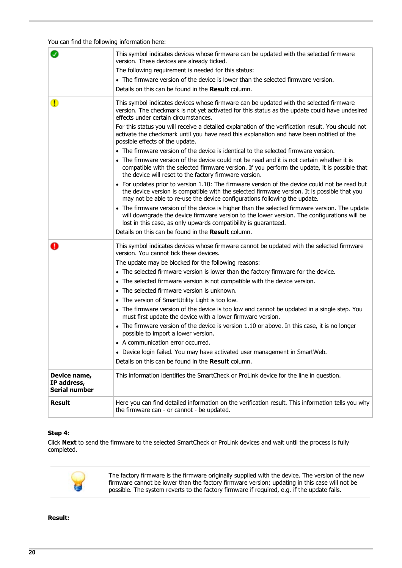#### You can find the following information here:

|                                                     | This symbol indicates devices whose firmware can be updated with the selected firmware<br>version. These devices are already ticked.                                                                                                                                       |
|-----------------------------------------------------|----------------------------------------------------------------------------------------------------------------------------------------------------------------------------------------------------------------------------------------------------------------------------|
|                                                     | The following requirement is needed for this status:                                                                                                                                                                                                                       |
|                                                     | • The firmware version of the device is lower than the selected firmware version.                                                                                                                                                                                          |
|                                                     | Details on this can be found in the Result column.                                                                                                                                                                                                                         |
| ❶                                                   | This symbol indicates devices whose firmware can be updated with the selected firmware<br>version. The checkmark is not yet activated for this status as the update could have undesired<br>effects under certain circumstances.                                           |
|                                                     | For this status you will receive a detailed explanation of the verification result. You should not<br>activate the checkmark until you have read this explanation and have been notified of the<br>possible effects of the update.                                         |
|                                                     | • The firmware version of the device is identical to the selected firmware version.                                                                                                                                                                                        |
|                                                     | • The firmware version of the device could not be read and it is not certain whether it is<br>compatible with the selected firmware version. If you perform the update, it is possible that<br>the device will reset to the factory firmware version.                      |
|                                                     | • For updates prior to version 1.10: The firmware version of the device could not be read but<br>the device version is compatible with the selected firmware version. It is possible that you<br>may not be able to re-use the device configurations following the update. |
|                                                     | • The firmware version of the device is higher than the selected firmware version. The update<br>will downgrade the device firmware version to the lower version. The configurations will be<br>lost in this case, as only upwards compatibility is guaranteed.            |
|                                                     | Details on this can be found in the Result column.                                                                                                                                                                                                                         |
|                                                     | This symbol indicates devices whose firmware cannot be updated with the selected firmware<br>version. You cannot tick these devices.                                                                                                                                       |
|                                                     | The update may be blocked for the following reasons:                                                                                                                                                                                                                       |
|                                                     | • The selected firmware version is lower than the factory firmware for the device.                                                                                                                                                                                         |
|                                                     | • The selected firmware version is not compatible with the device version.                                                                                                                                                                                                 |
|                                                     | • The selected firmware version is unknown.                                                                                                                                                                                                                                |
|                                                     | • The version of SmartUtility Light is too low.                                                                                                                                                                                                                            |
|                                                     | • The firmware version of the device is too low and cannot be updated in a single step. You<br>must first update the device with a lower firmware version.                                                                                                                 |
|                                                     | • The firmware version of the device is version 1.10 or above. In this case, it is no longer<br>possible to import a lower version.                                                                                                                                        |
|                                                     | • A communication error occurred.                                                                                                                                                                                                                                          |
|                                                     | • Device login failed. You may have activated user management in SmartWeb.                                                                                                                                                                                                 |
|                                                     | Details on this can be found in the Result column.                                                                                                                                                                                                                         |
| Device name,<br>IP address,<br><b>Serial number</b> | This information identifies the SmartCheck or ProLink device for the line in question.                                                                                                                                                                                     |
| <b>Result</b>                                       | Here you can find detailed information on the verification result. This information tells you why<br>the firmware can - or cannot - be updated.                                                                                                                            |

#### **Step 4:**

Click **Next** to send the firmware to the selected SmartCheck or ProLink devices and wait until the process is fully completed.



The factory firmware is the firmware originally supplied with the device. The version of the new firmware cannot be lower than the factory firmware version; updating in this case will not be possible. The system reverts to the factory firmware if required, e.g. if the update fails.

#### **Result:**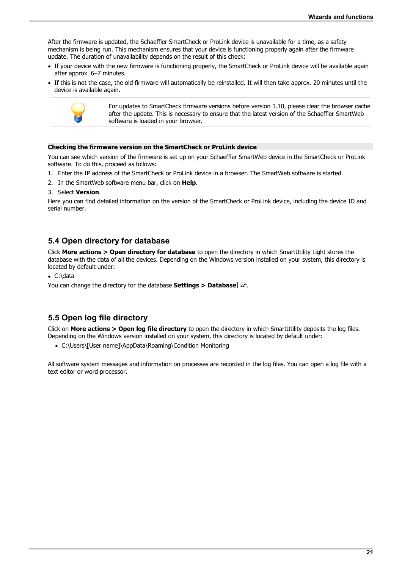After the firmware is updated, the Schaeffler SmartCheck or ProLink device is unavailable for a time, as a safety mechanism is being run. This mechanism ensures that your device is functioning properly again after the firmware update. The duration of unavailability depends on the result of this check: ·

- If your device with the new firmware is functioning properly, the SmartCheck or ProLink device will be available again after approx. 6–7 minutes.
- If this is not the case, the old firmware will automatically be reinstalled. It will then take approx. 20 minutes until the device is available again.



For updates to SmartCheck firmware versions before version 1.10, please clear the browser cache after the update. This is necessary to ensure that the latest version of the Schaeffler SmartWeb software is loaded in your browser.

#### **Checking the firmware version on the SmartCheck or ProLink device**

You can see which version of the firmware is set up on your Schaeffler SmartWeb device in the SmartCheck or ProLink software. To do this, proceed as follows:

- 1. Enter the IP address of the SmartCheck or ProLink device in a browser. The SmartWeb software is started.<br>
1. In the SmartWeb software menu bar, click on **Help**.<br>
1. Select **Version**.
- 
- 

Here you can find detailed information on the version of the SmartCheck or ProLink device, including the device ID and serial number.

### <span id="page-20-0"></span>**5.4 Open directory for database**

Click **More actions > Open directory for database** to open the directory in which SmartUtility Light stores the database with the data of all the devices. Depending on the Windows version installed on your system, this directory is located by default under:

• C:\data

You can change the directory for the database **Settings > Database** 22<sup>5</sup>.

### <span id="page-20-1"></span>**5.5 Open log file directory**

Click on **More actions > Open log file directory** to open the directory in which SmartUtility deposits the log files. Depending on the Windows version installed on your system, this directory is located by default under: ·

C:\Users\[User name]\AppData\Roaming\Condition Monitoring

All software system messages and information on processes are recorded in the log files. You can open a log file with a text editor or word processor.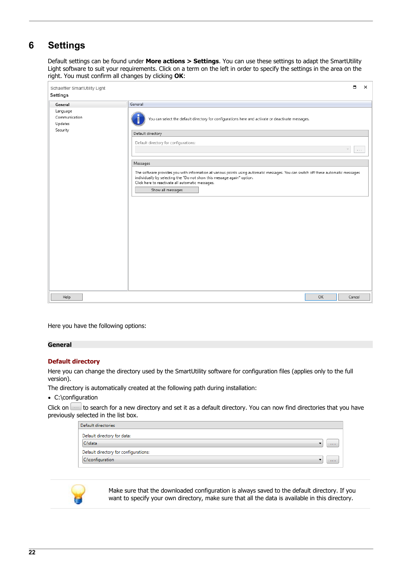## <span id="page-21-0"></span>**6 Settings**

Default settings can be found under **More actions > Settings**. You can use these settings to adapt the SmartUtility Light software to suit your requirements. Click on a term on the left in order to specify the settings in the area on the right. You must confirm all changes by clicking **OK**:

| Schaeffler SmartUtility Light        | $\Box$<br>$\times$                                                                                                                                                                                                                                                                    |
|--------------------------------------|---------------------------------------------------------------------------------------------------------------------------------------------------------------------------------------------------------------------------------------------------------------------------------------|
| <b>Settings</b>                      |                                                                                                                                                                                                                                                                                       |
| General                              | General                                                                                                                                                                                                                                                                               |
| Language<br>Communication<br>Updates | You can select the default directory for configurations here and activate or deactivate messages.                                                                                                                                                                                     |
| Security                             | Default directory<br>Default directory for configurations:                                                                                                                                                                                                                            |
|                                      | $\sim$ 1.1<br>Messages                                                                                                                                                                                                                                                                |
|                                      | The software provides you with information at various points using automatic messages. You can switch off these automatic messages<br>individually by selecting the "Do not show this message again" option.<br>Click here to reactivate all automatic messages.<br>Show all messages |
|                                      |                                                                                                                                                                                                                                                                                       |
|                                      |                                                                                                                                                                                                                                                                                       |
|                                      |                                                                                                                                                                                                                                                                                       |
|                                      |                                                                                                                                                                                                                                                                                       |
| Help                                 | OK<br>Cancel                                                                                                                                                                                                                                                                          |

Here you have the following options:

#### **General**

#### **Default directory**

Here you can change the directory used by the SmartUtility software for configuration files (applies only to the full version).

The directory is automatically created at the following path during installation:

• C:\configuration

Click on  $\Box$  to search for a new directory and set it as a default directory. You can now find directories that you have previously selected in the list box.

| Default directories                   |  |  |  |  |  |
|---------------------------------------|--|--|--|--|--|
| Default directory for data:           |  |  |  |  |  |
| C:\data<br>1.1.1                      |  |  |  |  |  |
| Default directory for configurations: |  |  |  |  |  |
| C:\configuration<br>1.111             |  |  |  |  |  |



Make sure that the downloaded configuration is always saved to the default directory. If you want to specify your own directory, make sure that all the data is available in this directory.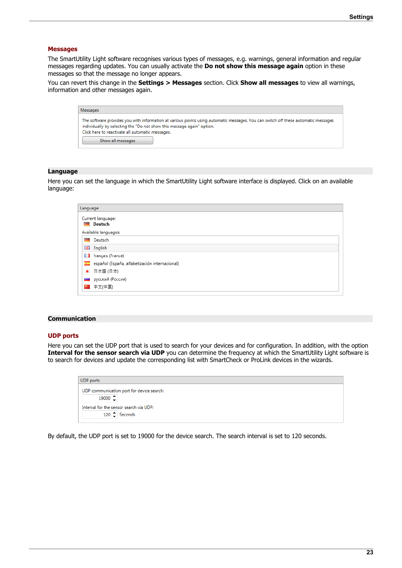#### **Messages**

The SmartUtility Light software recognises various types of messages, e.g. warnings, general information and regular messages regarding updates. You can usually activate the **Do not show this message again** option in these messages so that the message no longer appears.

You can revert this change in the **Settings > Messages** section. Click **Show all messages** to view all warnings, information and other messages again.

| Messages                                                                                                                                                                                                                                                                              |
|---------------------------------------------------------------------------------------------------------------------------------------------------------------------------------------------------------------------------------------------------------------------------------------|
| The software provides you with information at various points using automatic messages. You can switch off these automatic messages<br>individually by selecting the "Do not show this message again" option.<br>Click here to reactivate all automatic messages.<br>Show all messages |

#### **Language**

Here you can set the language in which the SmartUtility Light software interface is displayed. Click on an available language:

| Language                                       |  |  |  |  |  |  |
|------------------------------------------------|--|--|--|--|--|--|
| Current language:<br>Deutsch                   |  |  |  |  |  |  |
| Available languages:                           |  |  |  |  |  |  |
| Deutsch<br>$\overline{\phantom{a}}$            |  |  |  |  |  |  |
| 물품 English                                     |  |  |  |  |  |  |
| <b>T</b> français (France)                     |  |  |  |  |  |  |
| español (España, alfabetización internacional) |  |  |  |  |  |  |
| ● 日本語 (日本)                                     |  |  |  |  |  |  |
| <b>Ш</b> русский (Россия)                      |  |  |  |  |  |  |
| ■ 中文(中国)                                       |  |  |  |  |  |  |
|                                                |  |  |  |  |  |  |

#### **Communication**

#### **UDP ports**

Here you can set the UDP port that is used to search for your devices and for configuration. In addition, with the option **Interval for the sensor search via UDP** you can determine the frequency at which the SmartUtility Light software is to search for devices and update the corresponding list with SmartCheck or ProLink devices in the wizards.

<span id="page-22-0"></span>

| <b>UDP</b> ports |                 |                                           |  |  |  |
|------------------|-----------------|-------------------------------------------|--|--|--|
|                  |                 | UDP communication port for device search: |  |  |  |
|                  | 19000 $\hat{ }$ |                                           |  |  |  |
|                  |                 | Interval for the sensor search via UDP:   |  |  |  |
|                  |                 | 120 Seconds                               |  |  |  |
|                  |                 |                                           |  |  |  |

By default, the UDP port is set to 19000 for the device search. The search interval is set to 120 seconds.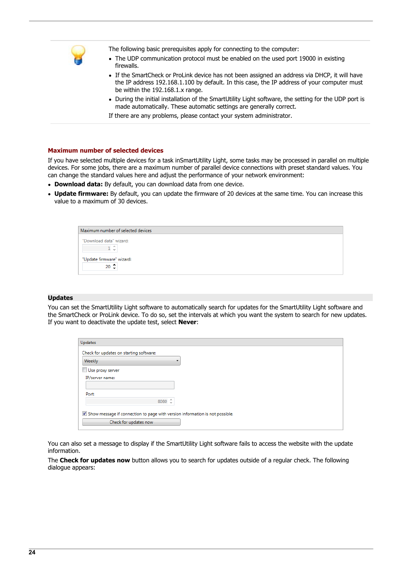

The following basic prerequisites apply for connecting to the computer:

- The UDP communication protocol must be enabled on the used port 19000 in existing
- firewalls. · If the SmartCheck or ProLink device has not been assigned an address via DHCP, it will have the IP address 192.168.1.100 by default. In this case, the IP address of your computer must be within the 192.168.1.x range.
- be within the 192.168.1.x range.<br>• During the initial installation of the SmartUtility Light software, the setting for the UDP port is made automatically. These automatic settings are generally correct.

If there are any problems, please contact your system administrator.

#### **Maximum number of selected devices**

If you have selected multiple devices for a task inSmartUtility Light, some tasks may be processed in parallel on multiple devices. For some jobs, there are a maximum number of parallel device connections with preset standard values. You can change the standard values here and adjust the performance of your network environment: ·

- **Download data:** By default, you can download data from one device. ·
- **Update firmware:** By default, you can update the firmware of 20 devices at the same time. You can increase this value to a maximum of 30 devices.

| Maximum number of selected devices     |  |
|----------------------------------------|--|
| "Download data" wizard:<br>$1 \hat{ }$ |  |
| "Update firmware" wizard:              |  |
| $20 \div$                              |  |

#### **Updates**

You can set the SmartUtility Light software to automatically search for updates for the SmartUtility Light software and the SmartCheck or ProLink device. To do so, set the intervals at which you want the system to search for new updates. If you want to deactivate the update test, select **Never**:

| Updates                                                                      |  |
|------------------------------------------------------------------------------|--|
| Check for updates on starting software:                                      |  |
| Weekly                                                                       |  |
| ▣<br>Use proxy server                                                        |  |
| IP/server name:                                                              |  |
|                                                                              |  |
| Port:                                                                        |  |
| 8080 $\hat{z}$                                                               |  |
|                                                                              |  |
| Show message if connection to page with version information is not possible. |  |
| Check for updates now                                                        |  |

You can also set a message to display if the SmartUtility Light software fails to access the website with the update information.

The **Check for updates now** button allows you to search for updates outside of a regular check. The following dialogue appears: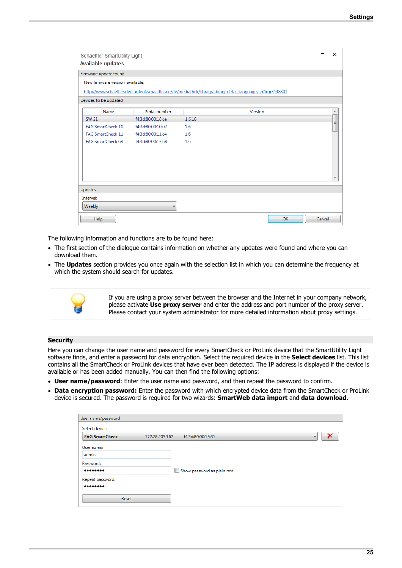| Schaeffler SmartUtility Light<br>Available updates |                                                                                                            |        |         |    | ⊓      | ×  |  |
|----------------------------------------------------|------------------------------------------------------------------------------------------------------------|--------|---------|----|--------|----|--|
| Firmware update found                              |                                                                                                            |        |         |    |        |    |  |
| New firmware version available:                    |                                                                                                            |        |         |    |        |    |  |
|                                                    | http://www.schaeffler.de/content.schaeffler.de/de/mediathek/library/library-detail-language.jsp?id=3548801 |        |         |    |        |    |  |
| Devices to be updated                              |                                                                                                            |        |         |    |        |    |  |
| Name                                               | Serial number                                                                                              |        | Version |    |        |    |  |
| <b>SW 21</b>                                       | f4:3d:80:00:18:ce                                                                                          | 1.6.10 |         |    |        |    |  |
| <b>FAG SmartCheck 10</b>                           | f4:3d:80:00:10:07                                                                                          | 1.6    |         |    |        | E, |  |
| FAG SmartCheck 11                                  | f4:3d:80:00:11:c4                                                                                          | 1.6    |         |    |        |    |  |
| <b>FAG SmartCheck 68</b>                           | f4:3d:80:00:13:68                                                                                          | 1.6    |         |    |        |    |  |
|                                                    |                                                                                                            |        |         |    |        |    |  |
|                                                    |                                                                                                            |        |         |    |        |    |  |
|                                                    |                                                                                                            |        |         |    |        |    |  |
|                                                    |                                                                                                            |        |         |    |        |    |  |
|                                                    |                                                                                                            |        |         |    |        |    |  |
| Updates                                            |                                                                                                            |        |         |    |        |    |  |
| Interval:                                          |                                                                                                            |        |         |    |        |    |  |
| Weekly                                             |                                                                                                            |        |         |    |        |    |  |
| Help                                               |                                                                                                            |        |         | OK | Cancel |    |  |

The following information and functions are to be found here:

- The first section of the dialogue contains information on whether any updates were found and where you can download them.
- download them. · The **Updates** section provides you once again with the selection list in which you can determine the frequency at which the system should search for updates.



If you are using a proxy server between the browser and the Internet in your company network, please activate **Use proxy server** and enter the address and port number of the proxy server. Please contact your system administrator for more detailed information about proxy settings.

#### <span id="page-24-0"></span>**Security**

Here you can change the user name and password for every SmartCheck or ProLink device that the SmartUtility Light software finds, and enter a password for data encryption. Select the required device in the **Select devices** list. This list contains all the SmartCheck or ProLink devices that have ever been detected. The IP address is displayed if the device is available or has been added manually. You can then find the following options:

- **User name/password**: Enter the user name and password, and then repeat the password to confirm. ·
- **Data encryption password:** Enter the password with which encrypted device data from the SmartCheck or ProLink device is secured. The password is required for two wizards: **SmartWeb data import** and **data download**.

| User name/password    |                |                             |    |  |
|-----------------------|----------------|-----------------------------|----|--|
| Select device:        |                |                             |    |  |
| <b>FAG SmartCheck</b> | 172.28.205.162 | f4:3d:80:00:15:31           | ۰. |  |
| User name:            |                |                             |    |  |
| admin                 |                |                             |    |  |
| Password:             |                |                             |    |  |
|                       |                | Show password as plain text |    |  |
| Repeat password:      |                |                             |    |  |
|                       |                |                             |    |  |
| Reset                 |                |                             |    |  |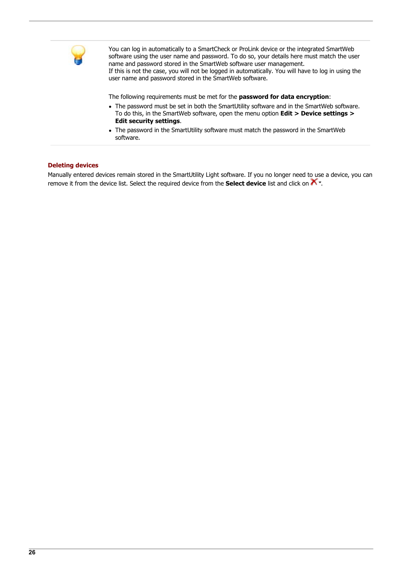

You can log in automatically to a SmartCheck or ProLink device or the integrated SmartWeb software using the user name and password. To do so, your details here must match the user name and password stored in the SmartWeb software user management. If this is not the case, you will not be logged in automatically. You will have to log in using the user name and password stored in the SmartWeb software.

The following requirements must be met for the **password for data encryption**: ·

- The password must be set in both the SmartUtility software and in the SmartWeb software. To do this, in the SmartWeb software, open the menu option **Edit > Device settings >**
- **Edit security settings**. · The password in the SmartUtility software must match the password in the SmartWeb software.

#### **Deleting devices**

Manually entered devices remain stored in the SmartUtility Light software. If you no longer need to use a device, you can remove it from the device list. Select the required device from the **Select device** list and click on .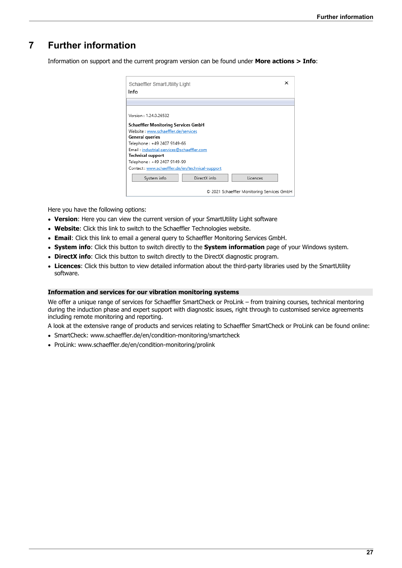## <span id="page-26-0"></span>**7 Further information**

Information on support and the current program version can be found under **More actions > Info**:

| Schaeffler SmartUtility Light                   |  |
|-------------------------------------------------|--|
| Info                                            |  |
|                                                 |  |
| Version: 1.24.0.26532                           |  |
| Schaeffler Monitoring Services GmbH             |  |
| Website: www.schaeffler.de/services             |  |
| General queries                                 |  |
| Telephone: +49 2407 9149-66                     |  |
| Email: industrial-services@schaeffler.com       |  |
| <b>Technical support</b>                        |  |
| Telephone: +49 2407 9149-99                     |  |
| Contact: www.schaeffler.de/en/technical-support |  |
| Licences<br>DirectX info<br>System info         |  |
| © 2021 Schaeffler Monitoring Services GmbH      |  |

Here you have the following options:

- **Version**: Here you can view the current version of your SmartUtility Light software
- Website: Click this link to switch to the Schaeffler Technologies website.<br>• **Email:** Click this link to email a general query to Schaeffler Monitoring Service
- **Email**: Click this link to email a general query to Schaeffler Monitoring Services GmbH. ·
- **System info**: Click this button to switch directly to the **System information** page of your Windows system. ·
- **DirectX info**: Click this button to switch directly to the DirectX diagnostic program.
- **Licences**: Click this button to view detailed information about the third-party libraries used by the SmartUtility software.

#### **Information and services for our vibration monitoring systems**

We offer a unique range of services for Schaeffler SmartCheck or ProLink – from training courses, technical mentoring during the induction phase and expert support with diagnostic issues, right through to customised service agreements including remote monitoring and reporting.

A look at the extensive range of products and services relating to Schaeffler SmartCheck or ProLink can be found online: ·

- SmartCheck: [www.schaeffler.de/en/condition-monitoring/smartcheck](http://www.schaeffler.de/en/condition-monitoring/smartcheck)
- · ProLink: [www.schaeffler.de/en/condition-monitoring/prolink](http://www.schaeffler.de/en/condition-monitoring/prolink)